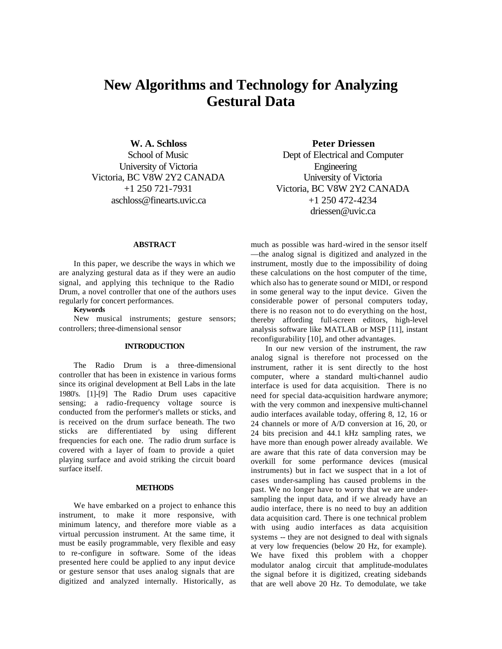# **New Algorithms and Technology for Analyzing Gestural Data**

**W. A. Schloss** School of Music University of Victoria Victoria, BC V8W 2Y2 CANADA +1 250 721-7931 aschloss@finearts.uvic.ca

**Peter Driessen**

Dept of Electrical and Computer **Engineering** University of Victoria Victoria, BC V8W 2Y2 CANADA +1 250 472-4234 driessen@uvic.ca

#### **ABSTRACT**

In this paper, we describe the ways in which we are analyzing gestural data as if they were an audio signal, and applying this technique to the Radio Drum, a novel controller that one of the authors uses regularly for concert performances.

# **Keywords**

New musical instruments; gesture sensors; controllers; three-dimensional sensor

#### **INTRODUCTION**

The Radio Drum is a three-dimensional controller that has been in existence in various forms since its original development at Bell Labs in the late 1980's. [1]-[9] The Radio Drum uses capacitive sensing; a radio-frequency voltage source is conducted from the performer's mallets or sticks, and is received on the drum surface beneath. The two sticks are differentiated by using different frequencies for each one. The radio drum surface is covered with a layer of foam to provide a quiet playing surface and avoid striking the circuit board surface itself.

## **METHODS**

We have embarked on a project to enhance this instrument, to make it more responsive, with minimum latency, and therefore more viable as a virtual percussion instrument. At the same time, it must be easily programmable, very flexible and easy to re-configure in software. Some of the ideas presented here could be applied to any input device or gesture sensor that uses analog signals that are digitized and analyzed internally. Historically, as much as possible was hard-wired in the sensor itself —the analog signal is digitized and analyzed in the instrument, mostly due to the impossibility of doing these calculations on the host computer of the time, which also has to generate sound or MIDI, or respond in some general way to the input device. Given the considerable power of personal computers today, there is no reason not to do everything on the host, thereby affording full-screen editors, high-level analysis software like MATLAB or MSP [11], instant reconfigurability [10], and other advantages.

In our new version of the instrument, the raw analog signal is therefore not processed on the instrument, rather it is sent directly to the host computer, where a standard multi-channel audio interface is used for data acquisition. There is no need for special data-acquisition hardware anymore; with the very common and inexpensive multi-channel audio interfaces available today, offering 8, 12, 16 or 24 channels or more of A/D conversion at 16, 20, or 24 bits precision and 44.1 kHz sampling rates, we have more than enough power already available. We are aware that this rate of data conversion may be overkill for some performance devices (musical instruments) but in fact we suspect that in a lot of cases under-sampling has caused problems in the past. We no longer have to worry that we are undersampling the input data, and if we already have an audio interface, there is no need to buy an addition data acquisition card. There is one technical problem with using audio interfaces as data acquisition systems -- they are not designed to deal with signals at very low frequencies (below 20 Hz, for example). We have fixed this problem with a chopper modulator analog circuit that amplitude-modulates the signal before it is digitized, creating sidebands that are well above 20 Hz. To demodulate, we take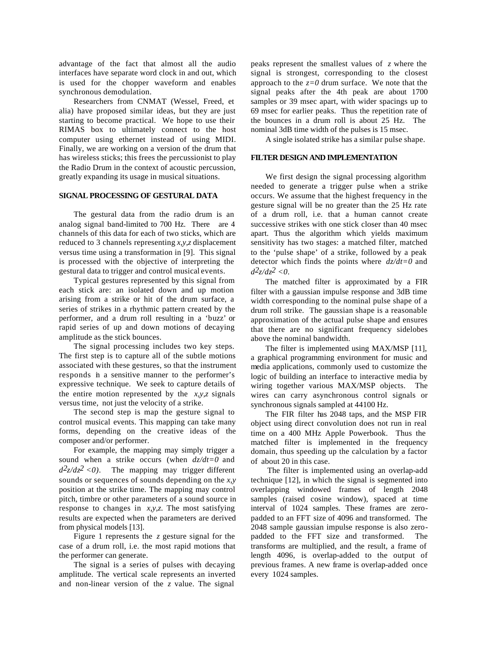advantage of the fact that almost all the audio interfaces have separate word clock in and out, which is used for the chopper waveform and enables synchronous demodulation.

Researchers from CNMAT (Wessel, Freed, et alia) have proposed similar ideas, but they are just starting to become practical. We hope to use their RIMAS box to ultimately connect to the host computer using ethernet instead of using MIDI. Finally, we are working on a version of the drum that has wireless sticks; this frees the percussionist to play the Radio Drum in the context of acoustic percussion, greatly expanding its usage in musical situations.

### **SIGNAL PROCESSING OF GESTURAL DATA**

The gestural data from the radio drum is an analog signal band-limited to 700 Hz. There are 4 channels of this data for each of two sticks, which are reduced to 3 channels representing *x,y,z* displacement versus time using a transformation in [9]. This signal is processed with the objective of interpreting the gestural data to trigger and control musical events.

Typical gestures represented by this signal from each stick are: an isolated down and up motion arising from a strike or hit of the drum surface, a series of strikes in a rhythmic pattern created by the performer, and a drum roll resulting in a 'buzz' or rapid series of up and down motions of decaying amplitude as the stick bounces.

The signal processing includes two key steps. The first step is to capture all of the subtle motions associated with these gestures, so that the instrument responds in a sensitive manner to the performer's expressive technique. We seek to capture details of the entire motion represented by the *x,y,z* signals versus time, not just the velocity of a strike.

The second step is map the gesture signal to control musical events. This mapping can take many forms, depending on the creative ideas of the composer and/or performer.

For example, the mapping may simply trigger a sound when a strike occurs (when *dz/dt=0* and  $d^2z/dz^2 < 0$ ). The mapping may trigger different sounds or sequences of sounds depending on the *x,y* position at the strike time. The mapping may control pitch, timbre or other parameters of a sound source in response to changes in *x,y,z*. The most satisfying results are expected when the parameters are derived from physical models [13].

Figure 1 represents the *z* gesture signal for the case of a drum roll, i.e. the most rapid motions that the performer can generate.

The signal is a series of pulses with decaying amplitude. The vertical scale represents an inverted and non-linear version of the *z* value. The signal

peaks represent the smallest values of *z* where the signal is strongest, corresponding to the closest approach to the  $z=0$  drum surface. We note that the signal peaks after the 4th peak are about 1700 samples or 39 msec apart, with wider spacings up to 69 msec for earlier peaks. Thus the repetition rate of the bounces in a drum roll is about 25 Hz. The nominal 3dB time width of the pulses is 15 msec.

A single isolated strike has a similar pulse shape.

#### **FILTER DESIGN AND IMPLEMENTATION**

We first design the signal processing algorithm needed to generate a trigger pulse when a strike occurs. We assume that the highest frequency in the gesture signal will be no greater than the 25 Hz rate of a drum roll, i.e. that a human cannot create successive strikes with one stick closer than 40 msec apart. Thus the algorithm which yields maximum sensitivity has two stages: a matched filter, matched to the 'pulse shape' of a strike, followed by a peak detector which finds the points where *dz/dt=0* and  $d^2z/dz^2 < 0$ .

The matched filter is approximated by a FIR filter with a gaussian impulse response and 3dB time width corresponding to the nominal pulse shape of a drum roll strike. The gaussian shape is a reasonable approximation of the actual pulse shape and ensures that there are no significant frequency sidelobes above the nominal bandwidth.

The filter is implemented using MAX/MSP [11], a graphical programming environment for music and media applications, commonly used to customize the logic of building an interface to interactive media by wiring together various MAX/MSP objects. The wires can carry asynchronous control signals or synchronous signals sampled at 44100 Hz.

The FIR filter has 2048 taps, and the MSP FIR object using direct convolution does not run in real time on a 400 MHz Apple Powerbook. Thus the matched filter is implemented in the frequency domain, thus speeding up the calculation by a factor of about 20 in this case.

The filter is implemented using an overlap-add technique [12], in which the signal is segmented into overlapping windowed frames of length 2048 samples (raised cosine window), spaced at time interval of 1024 samples. These frames are zeropadded to an FFT size of 4096 and transformed. The 2048 sample gaussian impulse response is also zeropadded to the FFT size and transformed. The transforms are multiplied, and the result, a frame of length 4096, is overlap-added to the output of previous frames. A new frame is overlap-added once every 1024 samples.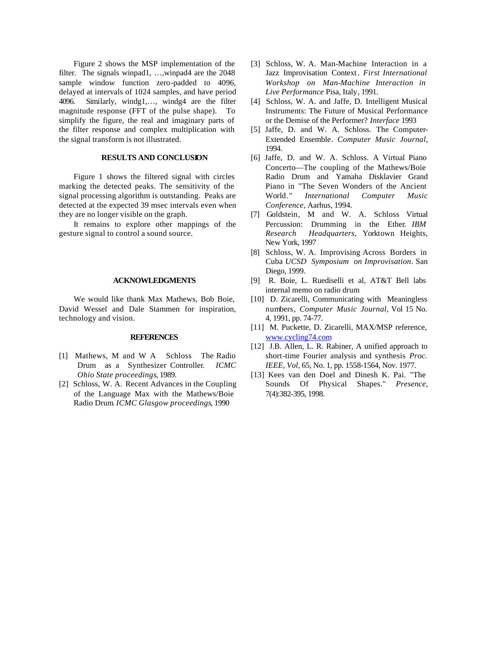Figure 2 shows the MSP implementation of the filter. The signals winpad1, ...,winpad4 are the 2048 sample window function zero-padded to 4096, delayed at intervals of 1024 samples, and have period 4096. Similarly, windg1,…, windg4 are the filter magnitude response (FFT of the pulse shape). To simplify the figure, the real and imaginary parts of the filter response and complex multiplication with the signal transform is not illustrated.

## **RESULTS AND CONCLUSION**

Figure 1 shows the filtered signal with circles marking the detected peaks. The sensitivity of the signal processing algorithm is outstanding. Peaks are detected at the expected 39 msec intervals even when they are no longer visible on the graph.

It remains to explore other mappings of the gesture signal to control a sound source.

#### **ACKNOWLEDGMENTS**

We would like thank Max Mathews, Bob Boie, David Wessel and Dale Stammen for inspiration, technology and vision.

#### **REFERENCES**

- [1] Mathews, M and W A Schloss The Radio Drum as a Synthesizer Controller*. ICMC Ohio State proceedings*, 1989.
- [2] Schloss, W. A. Recent Advances in the Coupling of the Language Max with the Mathews/Boie Radio Drum*. ICMC Glasgow proceedings*, 1990
- [3] Schloss, W. A. Man-Machine Interaction in a Jazz Improvisation Context . *First International Workshop on Man-Machine Interaction in Live Performance* Pisa, Italy, 1991.
- [4] Schloss, W. A. and Jaffe, D. Intelligent Musical Instruments: The Future of Musical Performance or the Demise of the Performer? *Interface* 1993
- [5] Jaffe, D. and W. A. Schloss. The Computer-Extended Ensemble. *Computer Music Journal*, 1994.
- [6] Jaffe, D. and W. A. Schloss. A Virtual Piano Concerto—The coupling of the Mathews/Boie Radio Drum and Yamaha Disklavier Grand Piano in "The Seven Wonders of the Ancient World*." International Computer Music Conference*, Aarhus, 1994.
- [7] Goldstein, M and W. A. Schloss Virtual Percussion: Drumming in the Ether*. IBM Research Headquarters*, Yorktown Heights, New York, 1997
- [8] Schloss, W. A. Improvising Across Borders in Cuba *UCSD Symposium on Improvisation*. San Diego, 1999.
- [9] R. Boie, L. Ruediselli et al, AT&T Bell labs internal memo on radio drum
- [10] D. Zicarelli, Communicating with Meaningless numbers*, Computer Music Journal*, Vol 15 No. 4, 1991, pp. 74-77.
- [11] M. Puckette, D. Zicarelli, MAX/MSP reference, www.cycling74.com
- [12] J.B. Allen, L. R. Rabiner, A unified approach to short-time Fourier analysis and synthesis *Proc. IEEE, Vol*, 65, No. 1, pp. 1558-1564, Nov. 1977.
- [13] Kees van den Doel and Dinesh K. Pai. "The Sounds Of Physical Shapes." *Presence*, 7(4):382-395, 1998.